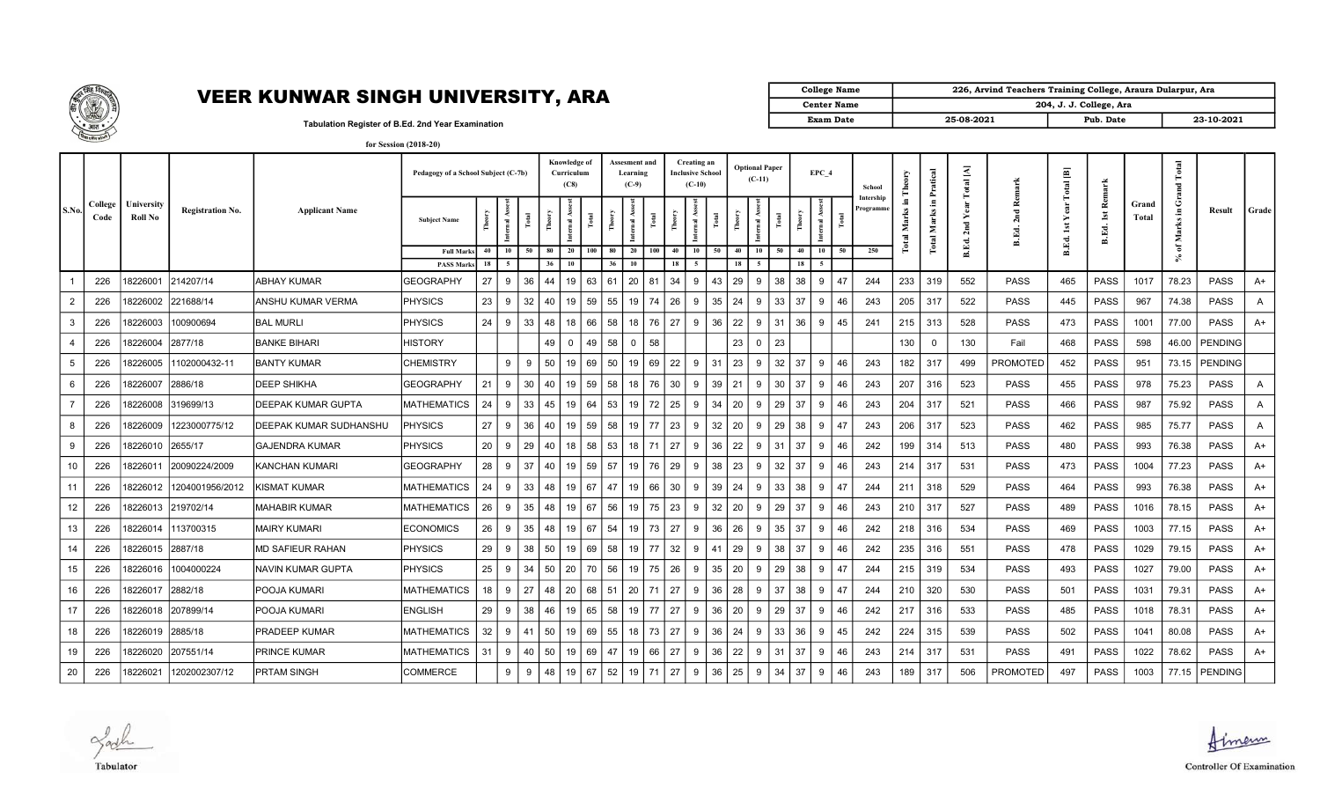

## VEER KUNWAR SINGH UNIVERSITY, ARA

| <b>College Name</b> | 226, Arvind Teachers Training College, Araura Dularpur, Ara |                         |            |  |  |  |  |  |  |  |  |
|---------------------|-------------------------------------------------------------|-------------------------|------------|--|--|--|--|--|--|--|--|
| <b>Center Name</b>  |                                                             | 204, J. J. College, Ara |            |  |  |  |  |  |  |  |  |
| Exam Date           | 25-08-2021                                                  | Pub. Date               | 23-10-2021 |  |  |  |  |  |  |  |  |

Tabulation Register of B.Ed. 2nd Year Examination

|                |                 |                              |                         |                           | Pedagogy of a School Subject (C-7b)   |                         |    |          | Knowledge of<br>Curriculum<br>(C8) |              |          | Assesment and<br>Learning<br>$(C-9)$ |                |            | Creating an<br>Inclusive School<br>$(C-10)$ |                | <b>Optional Paper</b><br>$(C-11)$ |       |          | EPC 4 |    | School               |           | Pratical                         | ₹<br>otal |                                  | $\Xi$<br>$\overline{a}$ | 푼                                     |                | $\bullet$          |                 |              |
|----------------|-----------------|------------------------------|-------------------------|---------------------------|---------------------------------------|-------------------------|----|----------|------------------------------------|--------------|----------|--------------------------------------|----------------|------------|---------------------------------------------|----------------|-----------------------------------|-------|----------|-------|----|----------------------|-----------|----------------------------------|-----------|----------------------------------|-------------------------|---------------------------------------|----------------|--------------------|-----------------|--------------|
| S.No.          | College<br>Code | University<br><b>Roll No</b> | <b>Registration No.</b> | <b>Applicant Name</b>     | <b>Subject Name</b>                   | $\overline{\mathbf{a}}$ |    | Ě        | ২<br>$\overline{\mathbf{r}}$       | <b>Total</b> | Theor    | Internal Asses                       | $_{\rm Total}$ | $\epsilon$ | Internal Ass<br>Total                       | Theory         | rnal Ass<br>hter                  | Total | Ê        |       | Ē  | Intership<br>rogramm | Σ<br>otal | $\blacksquare$<br>Marks<br>Total | 됩         | ≃<br>$\bar{\mathbf{v}}$<br>B.Ed. | B.Ed.                   | ₫<br>$\overline{\mathbf{s}}$<br>B.Ed. | Grand<br>Total | ن<br>Æ<br>Mar      | Result          | Grade        |
|                |                 |                              |                         |                           | <b>Full Marks</b><br><b>PASS Mark</b> | 10<br>40<br>18<br>-5    | 50 | 80<br>36 | 20<br>10                           | 100          | 80<br>36 | 20<br>10                             | 100            | 40<br>18   | 10<br>5                                     | 50<br>40<br>18 | 10<br>-5                          | 50    | 40<br>18 | 10    | 50 | 250                  |           |                                  | ட்        |                                  |                         |                                       |                | ัธ<br>$\mathbb{X}$ |                 |              |
|                | 226             | 8226001                      | 214207/14               | IABHAY KUMAR              | <b>GEOGRAPHY</b>                      | 27<br>9                 | 36 | 44       | 19                                 | 63           | 61       | 20                                   | 81             | 34         | 9                                           | 29<br>43       | 9                                 | 38    | 38       | 9     | 47 | 244                  | 233       | 319                              | 552       | PASS                             | 465                     | <b>PASS</b>                           | 1017           | 78.23              | <b>PASS</b>     | A+           |
| $\overline{2}$ | 226             | 8226002                      | 221688/14               | <b>ANSHU KUMAR VERMA</b>  | <b>PHYSICS</b>                        | 23<br>9                 | 32 | 40       | 19                                 | 59           | 55       | 19                                   | 74             | 26         | 9                                           | 24<br>35       | 9                                 | 33    | 37       | 9     | 46 | 243                  | 205       | 317                              | 522       | <b>PASS</b>                      | 445                     | <b>PASS</b>                           | 967            | 74.38              | PASS            | A            |
| 3              | 226             | 8226003                      | 100900694               | <b>BAL MURLI</b>          | <b>PHYSICS</b>                        | 24<br>9                 | 33 | 48       | 18                                 | 66           | 58       | 18                                   | 76             | 27         | 9                                           | 22<br>36       | 9                                 | 31    | 36       | 9     | 45 | 241                  | 215       | 313                              | 528       | PASS                             | 473                     | <b>PASS</b>                           | 1001           | 77.00              | <b>PASS</b>     | $A+$         |
|                | 226             | 8226004                      | 2877/18                 | <b>BANKE BIHARI</b>       | HISTORY                               |                         |    | 49       | $\mathbf{0}$                       | 49           | 58       | $\overline{0}$                       | 58             |            |                                             | 23             |                                   | 23    |          |       |    |                      | 130       | 0                                | 130       | Fail                             | 468                     | <b>PASS</b>                           | 598            | 46.00              | PENDING         |              |
| 5              | 226             | 8226005                      | 1102000432-11           | <b>BANTY KUMAR</b>        | <b>CHEMISTRY</b>                      | 9                       | 9  | 50       | 19                                 | 69           | 50       | 19                                   | 69             | 22         | 9<br>31                                     | 23             | 9                                 | 32    | 37       | 9     | 46 | 243                  | 182       | 317                              | 499       | <b>PROMOTED</b>                  | 452                     | <b>PASS</b>                           | 951            |                    | 73.15 PENDING   |              |
| 6              | 226             | 8226007                      | 2886/18                 | <b>DEEP SHIKHA</b>        | <b>GEOGRAPHY</b>                      | 21<br>9                 | 30 | 40       | 19                                 | 59           | 58       | 18                                   | 76             | 30         | 9<br>39                                     | 21             | 9                                 | 30    | 37       | 9     | 46 | 243                  | 207       | 316                              | 523       | <b>PASS</b>                      | 455                     | <b>PASS</b>                           | 978            | 75.23              | <b>PASS</b>     | $\mathsf{A}$ |
|                | 226             | 8226008                      | 319699/13               | <b>DEEPAK KUMAR GUPTA</b> | <b>MATHEMATICS</b>                    | 24<br>-9                | 33 | 45       | 19                                 | 64           | 53       | 19 I                                 | 72             | 25         | 9<br>34                                     | 20             | 9                                 | 29    | 37       | 9     | 46 | 243                  | 204       | 317                              | 521       | <b>PASS</b>                      | 466                     | <b>PASS</b>                           | 987            | 75.92              | <b>PASS</b>     | A            |
| 8              | 226             | 8226009                      | 1223000775/12           | DEEPAK KUMAR SUDHANSHL    | <b>PHYSICS</b>                        | 27<br>-9                | 36 | 40       | 19                                 | 59           | 58       | 19 77                                |                | 23 I       | 9                                           | 20<br>32       | 9                                 | 29    | 38       | 9     | 47 | 243                  | 206       | 317                              | 523       | <b>PASS</b>                      | 462                     | <b>PASS</b>                           | 985            | 75.77              | <b>PASS</b>     | A            |
| 9              | 226             | 8226010 2655/17              |                         | <b>GAJENDRA KUMAR</b>     | <b>PHYSICS</b>                        | 20 <sup>1</sup><br>-9   | 29 | 40       | 18                                 | 58 53        |          | 18 71                                |                | 27         | 9                                           | 22<br>36       | 9                                 | 31    | 37       | 9     | 46 | 242                  | 199       | 314                              | 513       | <b>PASS</b>                      | 480                     | PASS                                  | 993            | 76.38              | PASS            | A+           |
| 10             | 226             | 8226011                      | 20090224/2009           | KANCHAN KUMARI            | <b>GEOGRAPHY</b>                      | 28<br>-9                | 37 | 40       | 19                                 | 59           | 57       | 19                                   | 76             | 29         | 38<br>9                                     | 23             | 9                                 | 32    | 37       | 9     | 46 | 243                  | 214       | 317                              | 531       | <b>PASS</b>                      | 473                     | <b>PASS</b>                           | 1004           | 77.23              | PASS            | A+           |
| 11             | 226             | 8226012                      | 1204001956/2012         | IKISMAT KUMAR             | <b>MATHEMATICS</b>                    | 24<br>- q               | 33 | 48       | 19                                 | 67           | 47       | 19                                   | 66             | 30         | 39<br>9                                     | 24             | 9                                 | 33    | 38       | 9     | 47 | 244                  | 211       | 318                              | 529       | <b>PASS</b>                      | 464                     | PASS                                  | 993            | 76.38              | <b>PASS</b>     | A+           |
| 12             | 226             | 8226013                      | 219702/14               | <b>MAHABIR KUMAR</b>      | <b>MATHEMATICS</b>                    | 26<br>-9                | 35 | 48       | 19                                 | 67           | 56       | 19                                   | 75             | 23         | 32<br>9                                     | 20             |                                   | 29    | 37       | 9     | 46 | 243                  | 210       | 317                              | 527       | <b>PASS</b>                      | 489                     | <b>PASS</b>                           | 1016           | 78.15              | PASS            | A+           |
| 13             | 226             | 8226014                      | 113700315               | <b>MAIRY KUMARI</b>       | <b>ECONOMICS</b>                      | 26<br>-9                | 35 | 48       | 19                                 | 67           | 54       | 19                                   | 73             | 27         | 36<br>9                                     | 26             | 9                                 | 35    | 37       | 9     | 46 | 242                  | 218       | 316                              | 534       | <b>PASS</b>                      | 469                     | <b>PASS</b>                           | 1003           | 77.15              | <b>PASS</b>     | A+           |
| 14             | 226             | 8226015                      | 2887/18                 | <b>MD SAFIEUR RAHAN</b>   | <b>PHYSICS</b>                        | 29<br>-9                | 38 | 50       | 19                                 | 69           | 58       | 19                                   | 77             | 32         | 9<br>41                                     | 29             | 9                                 | 38    | 37       | 9     | 46 | 242                  | 235       | 316                              | 551       | <b>PASS</b>                      | 478                     | <b>PASS</b>                           | 1029           | 79.15              | <b>PASS</b>     | A+           |
| 15             | 226             | 8226016                      | 1004000224              | NAVIN KUMAR GUPTA         | <b>PHYSICS</b>                        | 25<br>9                 | 34 | 50       | $\vert$ 20                         | 70 56        |          | 19 I                                 | 75             | 26         | 9                                           | 35<br>20       | 9                                 | 29    | 38       | 9     | 47 | 244                  | 215       | 319                              | 534       | <b>PASS</b>                      | 493                     | <b>PASS</b>                           | 1027           | 79.00              | PASS            | A+           |
| 16             | 226             | 8226017                      | 2882/18                 | <b>POOJA KUMARI</b>       | <b>MATHEMATICS</b>                    | 18<br>9                 | 27 | 48       | 20                                 | 68           | 51       | 20 <sub>1</sub>                      | 71             | 27         | 9                                           | 28<br>36       | 9                                 | 37    | 38       | 9     | 47 | 244                  | 210       | 320                              | 530       | PASS                             | 501                     | <b>PASS</b>                           | 1031           | 79.31              | PASS            | A+           |
| 17             | 226             | 8226018                      | 207899/14               | POOJA KUMARI              | <b>ENGLISH</b>                        | 29<br>9                 | 38 | 46       | 19                                 | 65           | 58       | 19 77                                |                | 27         | 9<br>36                                     | 20             | 9                                 | 29    | 37       | 9     | 46 | 242                  | 217       | 316                              | 533       | PASS                             | 485                     | <b>PASS</b>                           | 1018           | 78.31              | <b>PASS</b>     | A+           |
| 18             | 226             | 8226019                      | 2885/18                 | PRADEEP KUMAR             | <b>MATHEMATICS</b>                    | 32<br>-9                | 41 | 50       | 19                                 | 69           | 55       | 18                                   | 73             | 27         | 9<br>36                                     | 24             | 9                                 | 33    | 36       | 9     | 45 | 242                  | 224       | 315                              | 539       | PASS                             | 502                     | <b>PASS</b>                           | 1041           | 80.08              | <b>PASS</b>     | A+           |
| 19             | 226             | 8226020                      | 207551/14               | <b>PRINCE KUMAR</b>       | <b>MATHEMATICS</b>                    | 9<br>31                 | 40 | 50       | 19                                 | 69           | 47       | 19                                   | 66             | 27         | 9<br>36                                     | 22             | 9                                 | 31    | 37       | 9     | 46 | 243                  | 214       | 317                              | 531       | PASS                             | 491                     | <b>PASS</b>                           | 1022           | 78.62              | <b>PASS</b>     | A+           |
| 20             | 226             | 8226021                      | 1202002307/12           | <b>PRTAM SINGH</b>        | COMMERCE                              | 9                       | 9  | 48       | 19                                 | 67           | 52       | 19   71                              |                | 27         | 9                                           | 36<br>25       | 9                                 | 34    | -37      | 9     | 46 | 243                  | 189       | 317                              | 506       | PROMOTED                         | 497                     | <b>PASS</b>                           | 1003           |                    | 77.15   PENDING |              |

Zach Tabulator